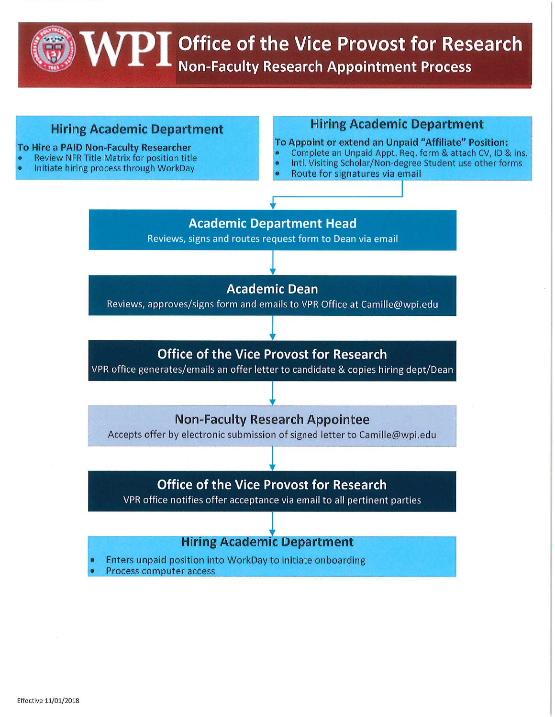**VPI** Office of the Vice Provost for Research<br>NPI Non-Faculty Research Appointment Process

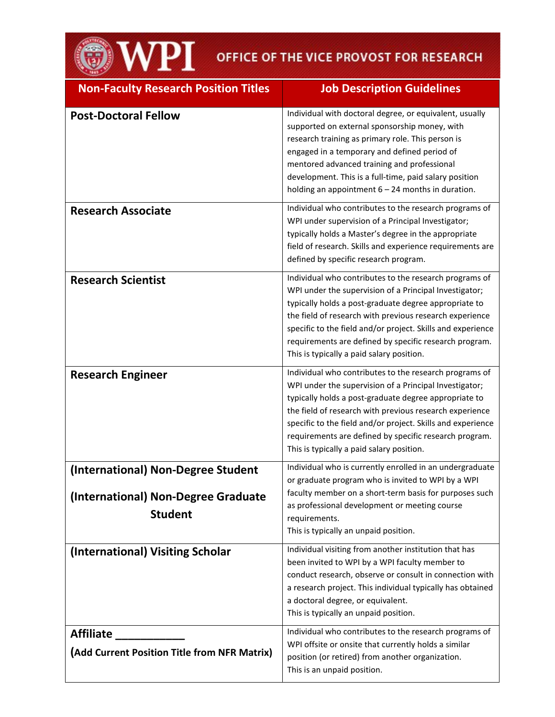**IMPI** OFFICE OF THE VICE PROVOST FOR RESEARCH

| <b>Non-Faculty Research Position Titles</b>                                                 | <b>Job Description Guidelines</b>                                                                                                                                                                                                                                                                                                                                                                          |  |
|---------------------------------------------------------------------------------------------|------------------------------------------------------------------------------------------------------------------------------------------------------------------------------------------------------------------------------------------------------------------------------------------------------------------------------------------------------------------------------------------------------------|--|
| <b>Post-Doctoral Fellow</b>                                                                 | Individual with doctoral degree, or equivalent, usually<br>supported on external sponsorship money, with<br>research training as primary role. This person is<br>engaged in a temporary and defined period of<br>mentored advanced training and professional<br>development. This is a full-time, paid salary position<br>holding an appointment $6 - 24$ months in duration.                              |  |
| <b>Research Associate</b>                                                                   | Individual who contributes to the research programs of<br>WPI under supervision of a Principal Investigator;<br>typically holds a Master's degree in the appropriate<br>field of research. Skills and experience requirements are<br>defined by specific research program.                                                                                                                                 |  |
| <b>Research Scientist</b>                                                                   | Individual who contributes to the research programs of<br>WPI under the supervision of a Principal Investigator;<br>typically holds a post-graduate degree appropriate to<br>the field of research with previous research experience<br>specific to the field and/or project. Skills and experience<br>requirements are defined by specific research program.<br>This is typically a paid salary position. |  |
| <b>Research Engineer</b>                                                                    | Individual who contributes to the research programs of<br>WPI under the supervision of a Principal Investigator;<br>typically holds a post-graduate degree appropriate to<br>the field of research with previous research experience<br>specific to the field and/or project. Skills and experience<br>requirements are defined by specific research program.<br>This is typically a paid salary position. |  |
| (International) Non-Degree Student<br>(International) Non-Degree Graduate<br><b>Student</b> | Individual who is currently enrolled in an undergraduate<br>or graduate program who is invited to WPI by a WPI<br>faculty member on a short-term basis for purposes such<br>as professional development or meeting course<br>requirements.<br>This is typically an unpaid position.                                                                                                                        |  |
| (International) Visiting Scholar                                                            | Individual visiting from another institution that has<br>been invited to WPI by a WPI faculty member to<br>conduct research, observe or consult in connection with<br>a research project. This individual typically has obtained<br>a doctoral degree, or equivalent.<br>This is typically an unpaid position.                                                                                             |  |
| <b>Affiliate</b><br>(Add Current Position Title from NFR Matrix)                            | Individual who contributes to the research programs of<br>WPI offsite or onsite that currently holds a similar<br>position (or retired) from another organization.<br>This is an unpaid position.                                                                                                                                                                                                          |  |